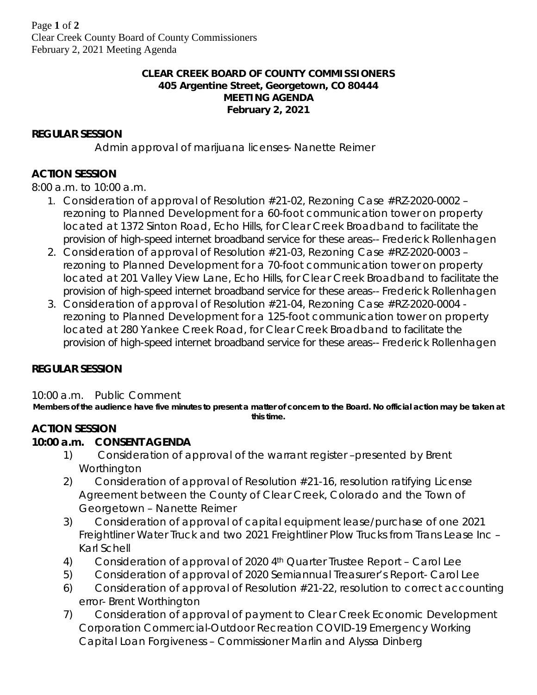### **CLEAR CREEK BOARD OF COUNTY COMMISSIONERS 405 Argentine Street, Georgetown, CO 80444 MEETING AGENDA February 2, 2021**

## **REGULAR SESSION**

Admin approval of marijuana licenses- Nanette Reimer

# **ACTION SESSION**

8:00 a.m. to 10:00 a.m.

- 1. Consideration of approval of Resolution #21-02, Rezoning Case #RZ-2020-0002 rezoning to Planned Development for a 60-foot communication tower on property located at 1372 Sinton Road, Echo Hills, for Clear Creek Broadband to facilitate the provision of high-speed internet broadband service for these areas-- Frederick Rollenhagen
- 2. Consideration of approval of Resolution #21-03, Rezoning Case #RZ-2020-0003 rezoning to Planned Development for a 70-foot communication tower on property located at 201 Valley View Lane, Echo Hills, for Clear Creek Broadband to facilitate the provision of high-speed internet broadband service for these areas-- Frederick Rollenhagen
- 3. Consideration of approval of Resolution #21-04, Rezoning Case #RZ-2020-0004 rezoning to Planned Development for a 125-foot communication tower on property located at 280 Yankee Creek Road, for Clear Creek Broadband to facilitate the provision of high-speed internet broadband service for these areas-- Frederick Rollenhagen

## **REGULAR SESSION**

10:00 a.m. Public Comment

*Members of the audience have five minutes to present a matter of concern to the Board. No official action may be taken at this time.*

# **ACTION SESSION**

## **10:00 a.m. CONSENT AGENDA**

- 1) Consideration of approval of the warrant register –presented by Brent **Worthington**
- 2) Consideration of approval of Resolution #21-16, resolution ratifying License Agreement between the County of Clear Creek, Colorado and the Town of Georgetown – Nanette Reimer
- 3) Consideration of approval of capital equipment lease/purchase of one 2021 Freightliner Water Truck and two 2021 Freightliner Plow Trucks from Trans Lease Inc – Karl Schell
- 4) Consideration of approval of 2020 4th Quarter Trustee Report Carol Lee
- 5) Consideration of approval of 2020 Semiannual Treasurer's Report- Carol Lee
- 6) Consideration of approval of Resolution #21-22, resolution to correct accounting error- Brent Worthington
- 7) Consideration of approval of payment to Clear Creek Economic Development Corporation Commercial-Outdoor Recreation COVID-19 Emergency Working Capital Loan Forgiveness – Commissioner Marlin and Alyssa Dinberg